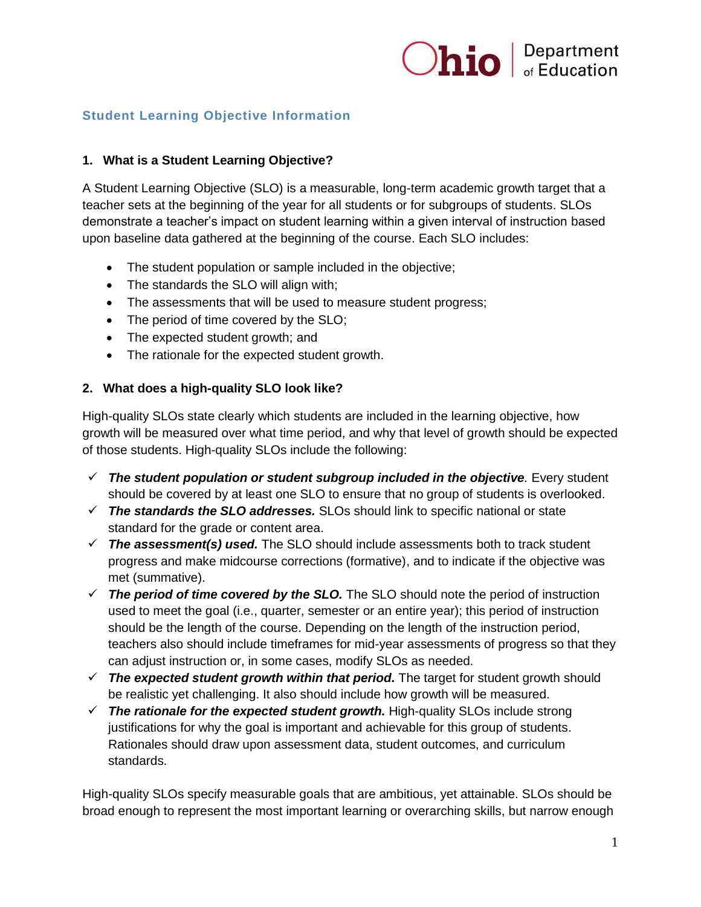

# **Student Learning Objective Information**

### **1. What is a Student Learning Objective?**

A Student Learning Objective (SLO) is a measurable, long-term academic growth target that a teacher sets at the beginning of the year for all students or for subgroups of students. SLOs demonstrate a teacher's impact on student learning within a given interval of instruction based upon baseline data gathered at the beginning of the course. Each SLO includes:

- The student population or sample included in the objective;
- The standards the SLO will align with;
- The assessments that will be used to measure student progress;
- The period of time covered by the SLO;
- The expected student growth; and
- The rationale for the expected student growth.

#### **2. What does a high-quality SLO look like?**

High-quality SLOs state clearly which students are included in the learning objective, how growth will be measured over what time period, and why that level of growth should be expected of those students. High-quality SLOs include the following:

- *The student population or student subgroup included in the objective.* Every student should be covered by at least one SLO to ensure that no group of students is overlooked.
- *The standards the SLO addresses.* SLOs should link to specific national or state standard for the grade or content area.
- *The assessment(s) used.* The SLO should include assessments both to track student progress and make midcourse corrections (formative), and to indicate if the objective was met (summative).
- *The period of time covered by the SLO.* The SLO should note the period of instruction used to meet the goal (i.e., quarter, semester or an entire year); this period of instruction should be the length of the course. Depending on the length of the instruction period, teachers also should include timeframes for mid-year assessments of progress so that they can adjust instruction or, in some cases, modify SLOs as needed.
- $\checkmark$  The expected student growth within that period. The target for student growth should be realistic yet challenging. It also should include how growth will be measured.
- $\checkmark$  The rationale for the expected student growth. High-quality SLOs include strong justifications for why the goal is important and achievable for this group of students. Rationales should draw upon assessment data, student outcomes, and curriculum standards.

High-quality SLOs specify measurable goals that are ambitious, yet attainable. SLOs should be broad enough to represent the most important learning or overarching skills, but narrow enough